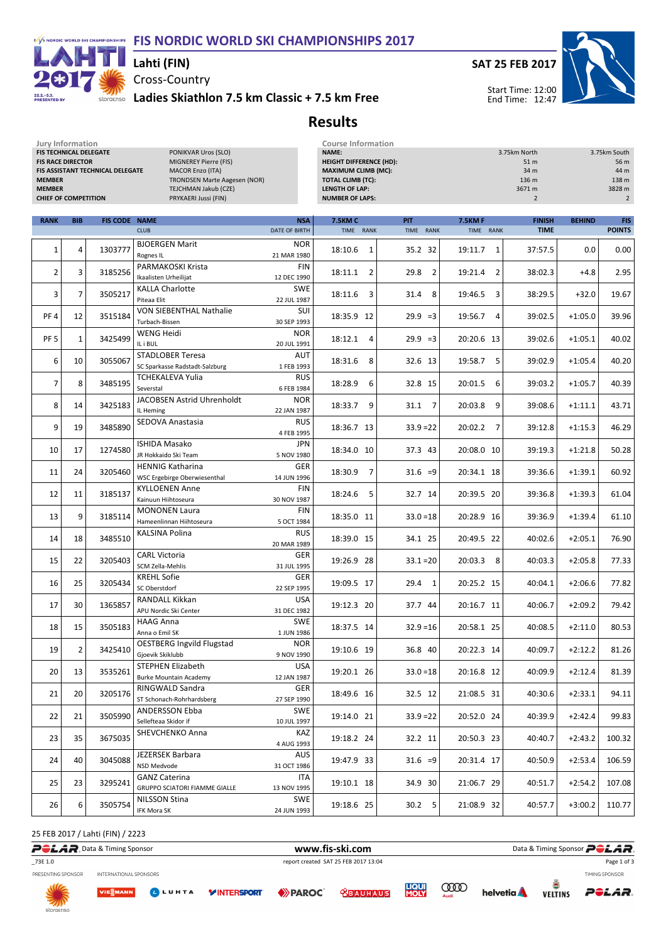#### F/S NORDIC WORLD SKI CHAMPIONSHIPS FIS NORDIC WORLD SKI CHAMPIONSHIPS 2017



### Lahti (FIN)

Cross-Country

Jury Information Course Information

storaenso Ladies Skiathlon 7.5 km Classic + 7.5 km Free





Start Time: 12:00 End Time: 12:47

## Results

| FIS TECHNICAL DELEGATE<br><b>FIS RACE DIRECTOR</b><br><b>MEMBER</b><br><b>MEMBER</b><br><b>CHIEF OF COMPETITION</b> |                | FIS ASSISTANT TECHNICAL DELEGATE | PONIKVAR Uros (SLO)<br>MIGNEREY Pierre (FIS)<br><b>MACOR Enzo (ITA)</b><br><b>TRONDSEN Marte Aagesen (NOR)</b><br>TEJCHMAN Jakub (CZE)<br>PRYKAERI Jussi (FIN) |                                          | NAME:<br><b>HEIGHT DIFFERENCE (HD):</b><br><b>MAXIMUM CLIMB (MC):</b><br><b>TOTAL CLIMB (TC):</b><br><b>LENGTH OF LAP:</b><br><b>NUMBER OF LAPS:</b> |                         |                            | 3.75km North<br>51 m<br>34 m<br>136 m<br>3671 m<br>$\overline{2}$ |               | 3.75km South<br>56 m<br>44 m<br>138 m<br>3828 m<br>$\overline{2}$ |
|---------------------------------------------------------------------------------------------------------------------|----------------|----------------------------------|----------------------------------------------------------------------------------------------------------------------------------------------------------------|------------------------------------------|------------------------------------------------------------------------------------------------------------------------------------------------------|-------------------------|----------------------------|-------------------------------------------------------------------|---------------|-------------------------------------------------------------------|
| <b>RANK</b>                                                                                                         | <b>BIB</b>     | <b>FIS CODE NAME</b>             | <b>CLUB</b>                                                                                                                                                    | <b>NSA</b><br>DATE OF BIRTH              | <b>7.5KM C</b><br>TIME RANK                                                                                                                          | <b>PIT</b><br>TIME RANK | <b>7.5KMF</b><br>TIME RANK | <b>FINISH</b><br><b>TIME</b>                                      | <b>BEHIND</b> | <b>FIS</b><br><b>POINTS</b>                                       |
|                                                                                                                     |                |                                  |                                                                                                                                                                |                                          |                                                                                                                                                      |                         |                            |                                                                   |               |                                                                   |
| 1                                                                                                                   | 4              | 1303777                          | <b>BJOERGEN Marit</b><br>Rognes IL                                                                                                                             | <b>NOR</b><br>21 MAR 1980                | 18:10.6<br>1                                                                                                                                         | 35.2 32                 | 19:11.7<br>1               | 37:57.5                                                           | 0.0           | 0.00                                                              |
| 2                                                                                                                   | 3              | 3185256                          | PARMAKOSKI Krista<br>Ikaalisten Urheilijat                                                                                                                     | FIN<br>12 DEC 1990                       | 18:11.1<br>2                                                                                                                                         | 29.8<br>$\overline{2}$  | 19:21.4<br>2               | 38:02.3                                                           | $+4.8$        | 2.95                                                              |
| 3                                                                                                                   | $\overline{7}$ | 3505217                          | <b>KALLA Charlotte</b><br>Piteaa Elit                                                                                                                          | <b>SWE</b><br>22 JUL 1987                | 18:11.6<br>3                                                                                                                                         | 8<br>31.4               | 19:46.5<br>3               | 38:29.5                                                           | $+32.0$       | 19.67                                                             |
| PF <sub>4</sub>                                                                                                     | 12             | 3515184                          | <b>VON SIEBENTHAL Nathalie</b><br>Turbach-Bissen                                                                                                               | SUI<br>30 SEP 1993                       | 18:35.9 12                                                                                                                                           | $29.9 = 3$              | 19:56.7<br>$\overline{4}$  | 39:02.5                                                           | $+1:05.0$     | 39.96                                                             |
| PF <sub>5</sub>                                                                                                     | 1              | 3425499                          | <b>WENG Heidi</b><br>IL i BUL                                                                                                                                  | <b>NOR</b><br>20 JUL 1991                | 18:12.1<br>4                                                                                                                                         | $29.9 = 3$              | 20:20.6 13                 | 39:02.6                                                           | $+1:05.1$     | 40.02                                                             |
| 6                                                                                                                   | 10             | 3055067                          | <b>STADLOBER Teresa</b><br>SC Sparkasse Radstadt-Salzburg                                                                                                      | AUT<br>1 FEB 1993                        | 18:31.6<br>8                                                                                                                                         | 32.6 13                 | 19:58.7<br>5               | 39:02.9                                                           | $+1:05.4$     | 40.20                                                             |
| 7                                                                                                                   | 8              | 3485195                          | TCHEKALEVA Yulia<br>Severstal                                                                                                                                  | <b>RUS</b><br>6 FEB 1984                 | 6<br>18:28.9                                                                                                                                         | 32.8 15                 | 20:01.5<br>6               | 39:03.2                                                           | $+1:05.7$     | 40.39                                                             |
| 8                                                                                                                   | 14             | 3425183                          | JACOBSEN Astrid Uhrenholdt<br>IL Heming                                                                                                                        | <b>NOR</b><br>22 JAN 1987                | 18:33.7<br>9                                                                                                                                         | 31.1<br>7               | 20:03.8<br>9               | 39:08.6                                                           | $+1:11.1$     | 43.71                                                             |
| 9                                                                                                                   | 19             | 3485890                          | SEDOVA Anastasia                                                                                                                                               | <b>RUS</b><br>4 FEB 1995                 | 18:36.7 13                                                                                                                                           | $33.9 = 22$             | 20:02.2<br>7               | 39:12.8                                                           | $+1:15.3$     | 46.29                                                             |
| 10                                                                                                                  | 17             | 1274580                          | <b>ISHIDA Masako</b><br>JR Hokkaido Ski Team                                                                                                                   | <b>JPN</b><br>5 NOV 1980                 | 18:34.0 10                                                                                                                                           | 37.3 43                 | 20:08.0 10                 | 39:19.3                                                           | $+1:21.8$     | 50.28                                                             |
| 11                                                                                                                  | 24             | 3205460                          | <b>HENNIG Katharina</b><br><b>WSC Ergebirge Oberwiesenthal</b>                                                                                                 | GER<br>14 JUN 1996                       | 18:30.9<br>7                                                                                                                                         | $31.6 = 9$              | 20:34.1 18                 | 39:36.6                                                           | $+1:39.1$     | 60.92                                                             |
| 12                                                                                                                  | 11             | 3185137                          | <b>KYLLOENEN Anne</b><br>Kainuun Hiihtoseura                                                                                                                   | <b>FIN</b><br>30 NOV 1987                | 18:24.6<br>5                                                                                                                                         | 32.7 14                 | 20:39.5 20                 | 39:36.8                                                           | $+1:39.3$     | 61.04                                                             |
| 13                                                                                                                  | 9              | 3185114                          | <b>MONONEN Laura</b><br>Hameenlinnan Hiihtoseura                                                                                                               | <b>FIN</b><br>5 OCT 1984                 | 18:35.0 11                                                                                                                                           | $33.0 = 18$             | 20:28.9 16                 | 39:36.9                                                           | $+1:39.4$     | 61.10                                                             |
| 14                                                                                                                  | 18             | 3485510                          | KALSINA Polina                                                                                                                                                 | <b>RUS</b><br>20 MAR 1989                | 18:39.0 15                                                                                                                                           | 34.1 25                 | 20:49.5 22                 | 40:02.6                                                           | $+2:05.1$     | 76.90                                                             |
| 15                                                                                                                  | 22             | 3205403                          | <b>CARL Victoria</b><br>SCM Zella-Mehlis                                                                                                                       | GER<br>31 JUL 1995                       | 19:26.9 28                                                                                                                                           | $33.1 = 20$             | 20:03.3<br>8               | 40:03.3                                                           | $+2:05.8$     | 77.33                                                             |
| 16                                                                                                                  | 25             | 3205434                          | <b>KREHL Sofie</b><br>SC Oberstdorf                                                                                                                            | GER<br>22 SEP 1995                       | 19:09.5 17                                                                                                                                           | 29.4<br>1               | 20:25.2 15                 | 40:04.1                                                           | $+2:06.6$     | 77.82                                                             |
| 17                                                                                                                  | 30             | 1365857                          | RANDALL Kikkan<br>APU Nordic Ski Center                                                                                                                        | <b>USA</b><br>31 DEC 1982                | 19:12.3 20                                                                                                                                           | 37.7 44                 | 20:16.7 11                 | 40:06.7                                                           | $+2:09.2$     | 79.42                                                             |
| 18                                                                                                                  | 15             | 3505183                          | <b>HAAG Anna</b><br>Anna o Emil SK                                                                                                                             | <b>SWE</b><br>1 JUN 1986                 | 18:37.5 14                                                                                                                                           | $32.9 = 16$             | 20:58.1 25                 | 40:08.5                                                           | $+2:11.0$     | 80.53                                                             |
| 19                                                                                                                  | $\overline{2}$ | 3425410                          | <b>OESTBERG Ingvild Flugstad</b><br>Gjoevik Skiklubb                                                                                                           | <b>NOR</b><br>9 NOV 1990                 | 19:10.6 19                                                                                                                                           | 36.8 40                 | 20:22.3 14                 | 40:09.7                                                           | $+2:12.2$     | 81.26                                                             |
| 20                                                                                                                  | 13             | 3535261                          | STEPHEN Elizabeth<br><b>Burke Mountain Academy</b>                                                                                                             | <b>USA</b><br>12 JAN 1987                | 19:20.1 26                                                                                                                                           | $33.0 = 18$             | 20:16.8 12                 | 40:09.9                                                           | $+2:12.4$     | 81.39                                                             |
| 21                                                                                                                  | 20             | 3205176                          | RINGWALD Sandra<br>ST Schonach-Rohrhardsberg                                                                                                                   | GER<br>27 SEP 1990                       | 18:49.6 16                                                                                                                                           | 32.5 12                 | 21:08.5 31                 | 40:30.6                                                           | $+2:33.1$     | 94.11                                                             |
| 22                                                                                                                  | 21             | 3505990                          | <b>ANDERSSON Ebba</b><br>Sellefteaa Skidor if                                                                                                                  | <b>SWE</b><br>10 JUL 1997                | 19:14.0 21                                                                                                                                           | $33.9 = 22$             | 20:52.0 24                 | 40:39.9                                                           | $+2:42.4$     | 99.83                                                             |
| 23                                                                                                                  | 35             | 3675035                          | SHEVCHENKO Anna                                                                                                                                                | KAZ<br>4 AUG 1993                        | 19:18.2 24                                                                                                                                           | 32.2 11                 | 20:50.3 23                 | 40:40.7                                                           | $+2:43.2$     | 100.32                                                            |
| 24                                                                                                                  | 40             | 3045088                          | <b>JEZERSEK Barbara</b><br>NSD Medvode                                                                                                                         | AUS<br>31 OCT 1986                       | 19:47.9 33                                                                                                                                           | $31.6 = 9$              | 20:31.4 17                 | 40:50.9                                                           | $+2:53.4$     | 106.59                                                            |
| 25                                                                                                                  | 23             | 3295241                          | <b>GANZ Caterina</b>                                                                                                                                           | ITA                                      | 19:10.1 18                                                                                                                                           | 34.9 30                 | 21:06.7 29                 | 40:51.7                                                           | $+2:54.2$     | 107.08                                                            |
| 26                                                                                                                  | 6              | 3505754                          | <b>GRUPPO SCIATORI FIAMME GIALLE</b><br>NILSSON Stina<br>IFK Mora SK                                                                                           | 13 NOV 1995<br><b>SWE</b><br>24 JUN 1993 | 19:18.6 25                                                                                                                                           | $30.2$ 5                | 21:08.9 32                 | 40:57.7                                                           | $+3:00.2$     | 110.77                                                            |
|                                                                                                                     |                |                                  |                                                                                                                                                                |                                          |                                                                                                                                                      |                         |                            |                                                                   |               |                                                                   |

25 FEB 2017 / Lahti (FIN) / 2223





**LIQUI**<br>MOLY



POLAR.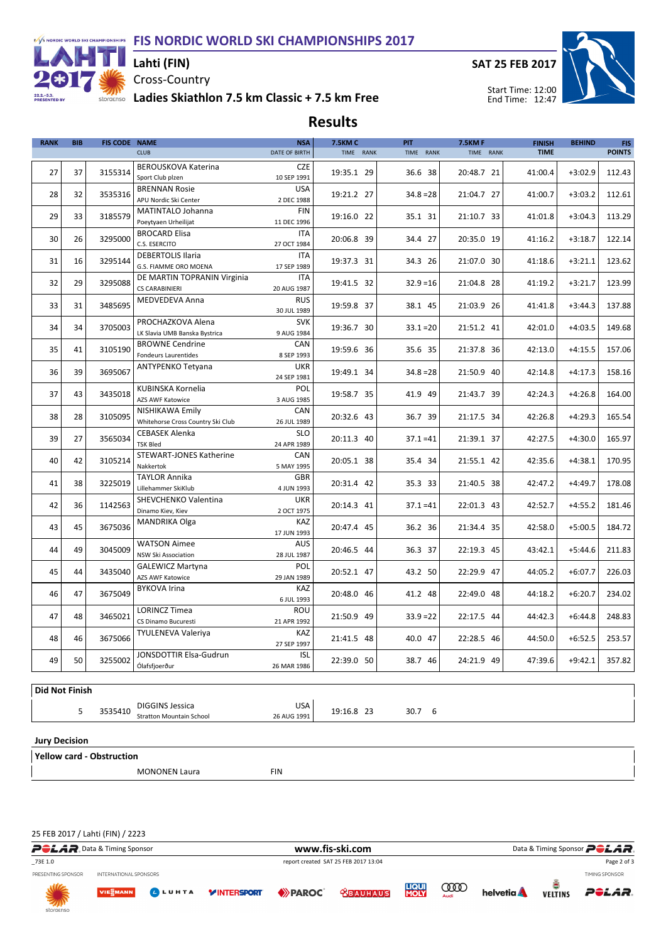

# Cross-Country Lahti (FIN)

SAT 25 FEB 2017



storaenso Ladies Skiathlon 7.5 km Classic + 7.5 km Free

| <b>RANK</b>    | <b>BIB</b> | <b>FIS CODE NAME</b> |                                                                   | <b>NSA</b>                | <b>7.5KM C</b> | <b>PIT</b>  | <b>7.5KMF</b> | <b>FINISH</b> | <b>BEHIND</b> | FIS-          |
|----------------|------------|----------------------|-------------------------------------------------------------------|---------------------------|----------------|-------------|---------------|---------------|---------------|---------------|
|                |            |                      | <b>CLUB</b>                                                       | <b>DATE OF BIRTH</b>      | TIME RANK      | TIME RANK   | TIME RANK     | <b>TIME</b>   |               | <b>POINTS</b> |
| 27             | 37         | 3155314              | <b>BEROUSKOVA Katerina</b><br>Sport Club plzen                    | <b>CZE</b><br>10 SEP 1991 | 19:35.1 29     | 36.6 38     | 20:48.7 21    | 41:00.4       | $+3:02.9$     | 112.43        |
| 28             | 32         | 3535316              | <b>BRENNAN Rosie</b><br>APU Nordic Ski Center                     | <b>USA</b><br>2 DEC 1988  | 19:21.2 27     | $34.8 = 28$ | 21:04.7 27    | 41:00.7       | $+3:03.2$     | 112.61        |
| 29             | 33         | 3185579              | <b>MATINTALO Johanna</b><br>Poeytyaen Urheilijat                  | <b>FIN</b><br>11 DEC 1996 | 19:16.0 22     | 35.1 31     | 21:10.7 33    | 41:01.8       | $+3:04.3$     | 113.29        |
| 30             | 26         | 3295000              | <b>BROCARD Elisa</b><br>C.S. ESERCITO                             | <b>ITA</b><br>27 OCT 1984 | 20:06.8 39     | 34.4 27     | 20:35.0 19    | 41:16.2       | $+3:18.7$     | 122.14        |
| 31             | 16         | 3295144              | <b>DEBERTOLIS Ilaria</b><br>G.S. FIAMME ORO MOENA                 | <b>ITA</b><br>17 SEP 1989 | 19:37.3 31     | 34.3 26     | 21:07.0 30    | 41:18.6       | $+3:21.1$     | 123.62        |
| 32             | 29         | 3295088              | DE MARTIN TOPRANIN Virginia<br><b>CS CARABINIERI</b>              | <b>ITA</b><br>20 AUG 1987 | 19:41.5 32     | $32.9 = 16$ | 21:04.8 28    | 41:19.2       | $+3:21.7$     | 123.99        |
| 33             | 31         | 3485695              | MEDVEDEVA Anna                                                    | <b>RUS</b><br>30 JUL 1989 | 19:59.8 37     | 38.1 45     | 21:03.9 26    | 41:41.8       | $+3:44.3$     | 137.88        |
| 34             | 34         | 3705003              | PROCHAZKOVA Alena<br>LK Slavia UMB Banska Bystrica                | <b>SVK</b><br>9 AUG 1984  | 19:36.7 30     | $33.1 = 20$ | 21:51.2 41    | 42:01.0       | $+4:03.5$     | 149.68        |
| 35             | 41         | 3105190              | <b>BROWNE Cendrine</b><br><b>Fondeurs Laurentides</b>             | CAN<br>8 SEP 1993         | 19:59.6 36     | 35.6 35     | 21:37.8 36    | 42:13.0       | $+4:15.5$     | 157.06        |
| 36             | 39         | 3695067              | <b>ANTYPENKO Tetyana</b>                                          | <b>UKR</b><br>24 SEP 1981 | 19:49.1 34     | $34.8 = 28$ | 21:50.9 40    | 42:14.8       | $+4:17.3$     | 158.16        |
| 37             | 43         | 3435018              | KUBINSKA Kornelia<br>AZS AWF Katowice                             | POL<br>3 AUG 1985         | 19:58.7 35     | 41.9 49     | 21:43.7 39    | 42:24.3       | $+4:26.8$     | 164.00        |
| 38             | 28         | 3105095              | NISHIKAWA Emily<br>Whitehorse Cross Country Ski Club              | <b>CAN</b><br>26 JUL 1989 | 20:32.6 43     | 36.7 39     | 21:17.5 34    | 42:26.8       | $+4:29.3$     | 165.54        |
| 39             | 27         | 3565034              | <b>CEBASEK Alenka</b><br><b>TSK Bled</b>                          | <b>SLO</b><br>24 APR 1989 | 20:11.3 40     | $37.1 = 41$ | 21:39.1 37    | 42:27.5       | $+4:30.0$     | 165.97        |
| 40             | 42         | 3105214              | <b>STEWART-JONES Katherine</b><br>Nakkertok                       | CAN<br>5 MAY 1995         | 20:05.1 38     | 35.4 34     | 21:55.1 42    | 42:35.6       | $+4:38.1$     | 170.95        |
| 41             | 38         | 3225019              | <b>TAYLOR Annika</b><br>Lillehammer SkiKlub                       | <b>GBR</b><br>4 JUN 1993  | 20:31.4 42     | 35.3 33     | 21:40.5 38    | 42:47.2       | $+4:49.7$     | 178.08        |
| 42             | 36         | 1142563              | SHEVCHENKO Valentina<br>Dinamo Kiev, Kiev                         | <b>UKR</b><br>2 OCT 1975  | 20:14.3 41     | $37.1 = 41$ | 22:01.3 43    | 42:52.7       | $+4:55.2$     | 181.46        |
| 43             | 45         | 3675036              | <b>MANDRIKA Olga</b>                                              | KAZ<br>17 JUN 1993        | 20:47.4 45     | 36.2 36     | 21:34.4 35    | 42:58.0       | $+5:00.5$     | 184.72        |
| 44             | 49         | 3045009              | <b>WATSON Aimee</b><br><b>NSW Ski Association</b>                 | <b>AUS</b><br>28 JUL 1987 | 20:46.5 44     | 36.3 37     | 22:19.3 45    | 43:42.1       | $+5:44.6$     | 211.83        |
| 45             | 44         | 3435040              | <b>GALEWICZ Martyna</b><br>AZS AWF Katowice                       | POL<br>29 JAN 1989        | 20:52.1 47     | 43.2 50     | 22:29.9 47    | 44:05.2       | $+6:07.7$     | 226.03        |
| 46             | 47         | 3675049              | <b>BYKOVA Irina</b><br>KAZ<br>6 JUL 1993                          |                           | 20:48.0 46     | 41.2 48     | 22:49.0 48    | 44:18.2       | $+6:20.7$     | 234.02        |
| 47             | 48         | 3465021              | <b>LORINCZ Timea</b><br>ROU<br>CS Dinamo Bucuresti<br>21 APR 1992 |                           | 21:50.9 49     | $33.9 = 22$ | 22:17.5 44    | 44:42.3       | $+6:44.8$     | 248.83        |
| 48             | 46         | 3675066              | TYULENEVA Valeriya                                                | <b>KAZ</b><br>27 SEP 1997 | 21:41.5 48     | 40.0 47     | 22:28.5 46    | 44:50.0       | $+6:52.5$     | 253.57        |
| 49             | 50         | 3255002              | JONSDOTTIR Elsa-Gudrun<br>Ólafsfjoerður                           | <b>ISL</b><br>26 MAR 1986 | 22:39.0 50     | 38.7 46     | 24:21.9 49    | 47:39.6       | $+9:42.1$     | 357.82        |
|                |            |                      |                                                                   |                           |                |             |               |               |               |               |
| Did Not Finish |            |                      |                                                                   |                           |                |             |               |               |               |               |

Jury Decision

Yellow card - Obstruction

5

Stratton Mountain School

MONONEN Laura FIN

DIGGINS Jessica 3535410 19:16.8 23 30.7 6

USA 26 AUG 1991

25 FEB 2017 / Lahti (FIN) / 2223